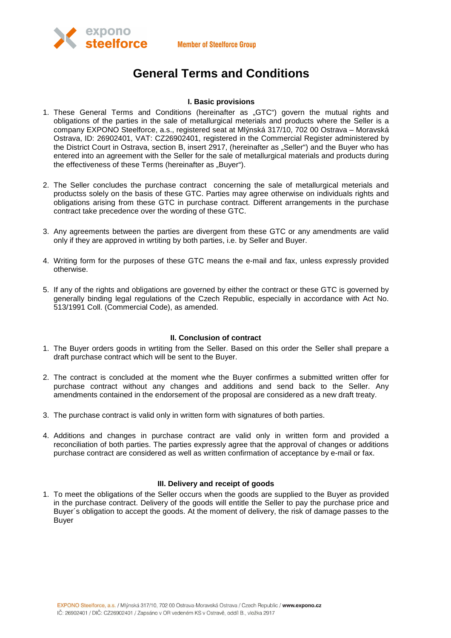



# **General Terms and Conditions**

# **I. Basic provisions**

- 1. These General Terms and Conditions (hereinafter as "GTC") govern the mutual rights and obligations of the parties in the sale of metallurgical meterials and products where the Seller is a company EXPONO Steelforce, a.s., registered seat at Mlýnská 317/10, 702 00 Ostrava – Moravská Ostrava, ID: 26902401, VAT: CZ26902401, registered in the Commercial Register administered by the District Court in Ostrava, section B, insert 2917, (hereinafter as "Seller") and the Buyer who has entered into an agreement with the Seller for the sale of metallurgical materials and products during the effectiveness of these Terms (hereinafter as ..Buver").
- 2. The Seller concludes the purchase contract concerning the sale of metallurgical meterials and productss solely on the basis of these GTC. Parties may agree otherwise on individuals rights and obligations arising from these GTC in purchase contract. Different arrangements in the purchase contract take precedence over the wording of these GTC.
- 3. Any agreements between the parties are divergent from these GTC or any amendments are valid only if they are approved in wrtiting by both parties, i.e. by Seller and Buyer.
- 4. Writing form for the purposes of these GTC means the e-mail and fax, unless expressly provided otherwise.
- 5. If any of the rights and obligations are governed by either the contract or these GTC is governed by generally binding legal regulations of the Czech Republic, especially in accordance with Act No. 513/1991 Coll. (Commercial Code), as amended.

#### **II. Conclusion of contract**

- 1. The Buyer orders goods in wrtiting from the Seller. Based on this order the Seller shall prepare a draft purchase contract which will be sent to the Buyer.
- 2. The contract is concluded at the moment whe the Buyer confirmes a submitted written offer for purchase contract without any changes and additions and send back to the Seller. Any amendments contained in the endorsement of the proposal are considered as a new draft treaty.
- 3. The purchase contract is valid only in written form with signatures of both parties.
- 4. Additions and changes in purchase contract are valid only in written form and provided a reconciliation of both parties. The parties expressly agree that the approval of changes or additions purchase contract are considered as well as written confirmation of acceptance by e-mail or fax.

# **III. Delivery and receipt of goods**

1. To meet the obligations of the Seller occurs when the goods are supplied to the Buyer as provided in the purchase contract. Delivery of the goods will entitle the Seller to pay the purchase price and Buyer´s obligation to accept the goods. At the moment of delivery, the risk of damage passes to the **Buver**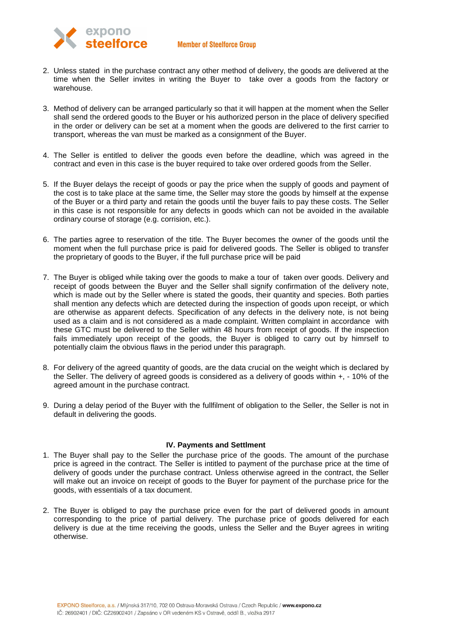## **Member of Steelforce Group**



- 2. Unless stated in the purchase contract any other method of delivery, the goods are delivered at the time when the Seller invites in writing the Buyer to take over a goods from the factory or warehouse.
- 3. Method of delivery can be arranged particularly so that it will happen at the moment when the Seller shall send the ordered goods to the Buyer or his authorized person in the place of delivery specified in the order or delivery can be set at a moment when the goods are delivered to the first carrier to transport, whereas the van must be marked as a consignment of the Buyer.
- 4. The Seller is entitled to deliver the goods even before the deadline, which was agreed in the contract and even in this case is the buyer required to take over ordered goods from the Seller.
- 5. If the Buyer delays the receipt of goods or pay the price when the supply of goods and payment of the cost is to take place at the same time, the Seller may store the goods by himself at the expense of the Buyer or a third party and retain the goods until the buyer fails to pay these costs. The Seller in this case is not responsible for any defects in goods which can not be avoided in the available ordinary course of storage (e.g. corrision, etc.).
- 6. The parties agree to reservation of the title. The Buyer becomes the owner of the goods until the moment when the full purchase price is paid for delivered goods. The Seller is obliged to transfer the proprietary of goods to the Buyer, if the full purchase price will be paid
- 7. The Buyer is obliged while taking over the goods to make a tour of taken over goods. Delivery and receipt of goods between the Buyer and the Seller shall signify confirmation of the delivery note, which is made out by the Seller where is stated the goods, their quantity and species. Both parties shall mention any defects which are detected during the inspection of goods upon receipt, or which are otherwise as apparent defects. Specification of any defects in the delivery note, is not being used as a claim and is not considered as a made complaint. Written complaint in accordance with these GTC must be delivered to the Seller within 48 hours from receipt of goods. If the inspection fails immediately upon receipt of the goods, the Buyer is obliged to carry out by himrself to potentially claim the obvious flaws in the period under this paragraph.
- 8. For delivery of the agreed quantity of goods, are the data crucial on the weight which is declared by the Seller. The delivery of agreed goods is considered as a delivery of goods within +, - 10% of the agreed amount in the purchase contract.
- 9. During a delay period of the Buyer with the fullfilment of obligation to the Seller, the Seller is not in default in delivering the goods.

#### **IV. Payments and Settlment**

- 1. The Buyer shall pay to the Seller the purchase price of the goods. The amount of the purchase price is agreed in the contract. The Seller is intitled to payment of the purchase price at the time of delivery of goods under the purchase contract. Unless otherwise agreed in the contract, the Seller will make out an invoice on receipt of goods to the Buyer for payment of the purchase price for the goods, with essentials of a tax document.
- 2. The Buyer is obliged to pay the purchase price even for the part of delivered goods in amount corresponding to the price of partial delivery. The purchase price of goods delivered for each delivery is due at the time receiving the goods, unless the Seller and the Buyer agrees in writing otherwise.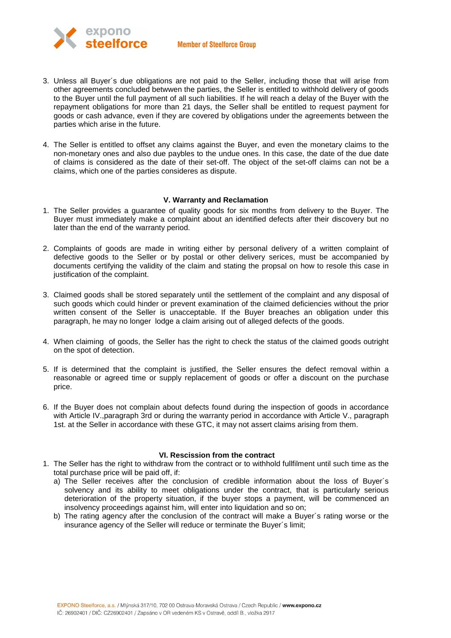

- 3. Unless all Buyer´s due obligations are not paid to the Seller, including those that will arise from other agreements concluded betwwen the parties, the Seller is entitled to withhold delivery of goods to the Buyer until the full payment of all such liabilities. If he will reach a delay of the Buyer with the repayment obligations for more than 21 days, the Seller shall be entitled to request payment for goods or cash advance, even if they are covered by obligations under the agreements between the parties which arise in the future.
- 4. The Seller is entitled to offset any claims against the Buyer, and even the monetary claims to the non-monetary ones and also due paybles to the undue ones. In this case, the date of the due date of claims is considered as the date of their set-off. The object of the set-off claims can not be a claims, which one of the parties consideres as dispute.

## **V. Warranty and Reclamation**

- 1. The Seller provides a guarantee of quality goods for six months from delivery to the Buyer. The Buyer must immediately make a complaint about an identified defects after their discovery but no later than the end of the warranty period.
- 2. Complaints of goods are made in writing either by personal delivery of a written complaint of defective goods to the Seller or by postal or other delivery serices, must be accompanied by documents certifying the validity of the claim and stating the propsal on how to resole this case in justification of the complaint.
- 3. Claimed goods shall be stored separately until the settlement of the complaint and any disposal of such goods which could hinder or prevent examination of the claimed deficiencies without the prior written consent of the Seller is unacceptable. If the Buyer breaches an obligation under this paragraph, he may no longer lodge a claim arising out of alleged defects of the goods.
- 4. When claiming of goods, the Seller has the right to check the status of the claimed goods outright on the spot of detection.
- 5. If is determined that the complaint is justified, the Seller ensures the defect removal within a reasonable or agreed time or supply replacement of goods or offer a discount on the purchase price.
- 6. If the Buyer does not complain about defects found during the inspection of goods in accordance with Article IV.,paragraph 3rd or during the warranty period in accordance with Article V., paragraph 1st. at the Seller in accordance with these GTC, it may not assert claims arising from them.

#### **VI. Rescission from the contract**

- 1. The Seller has the right to withdraw from the contract or to withhold fullfilment until such time as the total purchase price will be paid off, if:
	- a) The Seller receives after the conclusion of credible information about the loss of Buyer´s solvency and its ability to meet obligations under the contract, that is particularly serious deterioration of the property situation, if the buyer stops a payment, will be commenced an insolvency proceedings against him, will enter into liquidation and so on;
	- b) The rating agency after the conclusion of the contract will make a Buyer´s rating worse or the insurance agency of the Seller will reduce or terminate the Buyer´s limit;